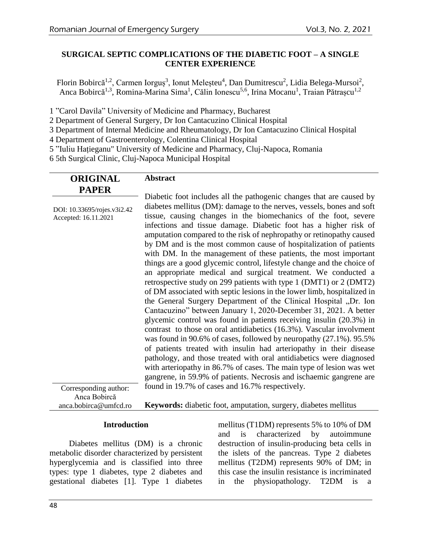# **SURGICAL SEPTIC COMPLICATIONS OF THE DIABETIC FOOT – A SINGLE CENTER EXPERIENCE**

Florin Bobircă<sup>1,2</sup>, Carmen Iorguș<sup>3</sup>, Ionut Meleșteu<sup>4</sup>, Dan Dumitrescu<sup>2</sup>, Lidia Belega-Mursoi<sup>2</sup>, Anca Bobircă<sup>1,3</sup>, Romina-Marina Sima<sup>1</sup>, Călin Ionescu<sup>5,6</sup>, Irina Mocanu<sup>1</sup>, Traian Pătrașcu<sup>1,2</sup>

1 "Carol Davila" University of Medicine and Pharmacy, Bucharest

2 Department of General Surgery, Dr Ion Cantacuzino Clinical Hospital

3 Department of Internal Medicine and Rheumatology, Dr Ion Cantacuzino Clinical Hospital

4 Department of Gastroenterology, Colentina Clinical Hospital

5 "Iuliu Hațieganu" University of Medicine and Pharmacy, Cluj-Napoca, Romania

6 5th Surgical Clinic, Cluj-Napoca Municipal Hospital

| <b>ORIGINAL</b> | <b>Abstract</b> |
|-----------------|-----------------|
| <b>PAPER</b>    |                 |

DOI: 10.33695/rojes.v3i2.42 Accepted: 16.11.2021 Diabetic foot includes all the pathogenic changes that are caused by diabetes mellitus (DM): damage to the nerves, vessels, bones and soft tissue, causing changes in the biomechanics of the foot, severe infections and tissue damage. Diabetic foot has a higher risk of amputation compared to the risk of nephropathy or retinopathy caused by DM and is the most common cause of hospitalization of patients with DM. In the management of these patients, the most important things are a good glycemic control, lifestyle change and the choice of an appropriate medical and surgical treatment. We conducted a retrospective study on 299 patients with type 1 (DMT1) or 2 (DMT2) of DM associated with septic lesions in the lower limb, hospitalized in the General Surgery Department of the Clinical Hospital "Dr. Ion Cantacuzino" between January 1, 2020-December 31, 2021. A better glycemic control was found in patients receiving insulin (20.3%) in contrast to those on oral antidiabetics (16.3%). Vascular involvment was found in 90.6% of cases, followed by neuropathy (27.1%). 95.5% of patients treated with insulin had arteriopathy in their disease pathology, and those treated with oral antidiabetics were diagnosed with arteriopathy in 86.7% of cases. The main type of lesion was wet gangrene, in 59.9% of patients. Necrosis and ischaemic gangrene are found in 19.7% of cases and 16.7% respectively.

Corresponding author: Anca Bobircă anca.bobirca@umfcd.ro

**Keywords:** diabetic foot, amputation, surgery, diabetes mellitus

## **Introduction**

Diabetes mellitus (DM) is a chronic metabolic disorder characterized by persistent hyperglycemia and is classified into three types: type 1 diabetes, type 2 diabetes and gestational diabetes [1]. Type 1 diabetes

mellitus (T1DM) represents 5% to 10% of DM and is characterized by autoimmune destruction of insulin-producing beta cells in the islets of the pancreas. Type 2 diabetes mellitus (T2DM) represents 90% of DM; in this case the insulin resistance is incriminated in the physiopathology. T2DM is a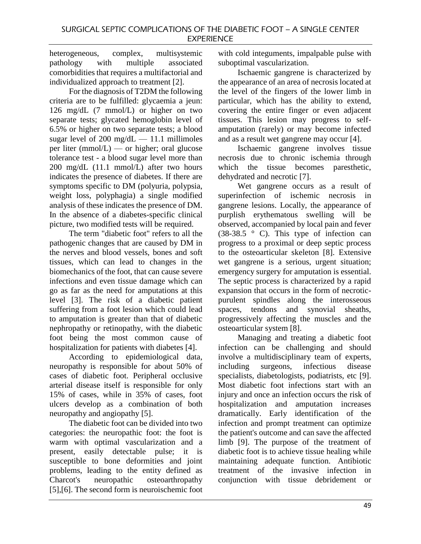heterogeneous, complex, multisystemic pathology with multiple associated comorbidities that requires a multifactorial and individualized approach to treatment [2].

For the diagnosis of T2DM the following criteria are to be fulfilled: glycaemia a jeun: 126 mg/dL (7 mmol/L) or higher on two separate tests; glycated hemoglobin level of 6.5% or higher on two separate tests; a blood sugar level of 200 mg/dL  $-$  11.1 millimoles per liter ( $mmol/L$ ) — or higher; oral glucose tolerance test - a blood sugar level more than 200 mg/dL (11.1 mmol/L) after two hours indicates the presence of diabetes. If there are symptoms specific to DM (polyuria, polypsia, weight loss, polyphagia) a single modified analysis of these indicates the presence of DM. In the absence of a diabetes-specific clinical picture, two modified tests will be required.

The term "diabetic foot" refers to all the pathogenic changes that are caused by DM in the nerves and blood vessels, bones and soft tissues, which can lead to changes in the biomechanics of the foot, that can cause severe infections and even tissue damage which can go as far as the need for amputations at this level [3]. The risk of a diabetic patient suffering from a foot lesion which could lead to amputation is greater than that of diabetic nephropathy or retinopathy, with the diabetic foot being the most common cause of hospitalization for patients with diabetes [4].

According to epidemiological data, neuropathy is responsible for about 50% of cases of diabetic foot. Peripheral occlusive arterial disease itself is responsible for only 15% of cases, while in 35% of cases, foot ulcers develop as a combination of both neuropathy and angiopathy [5].

The diabetic foot can be divided into two categories: the neuropathic foot: the foot is warm with optimal vascularization and a present, easily detectable pulse; it is susceptible to bone deformities and joint problems, leading to the entity defined as Charcot's neuropathic osteoarthropathy [5],[6]. The second form is neuroischemic foot with cold integuments, impalpable pulse with suboptimal vascularization.

Ischaemic gangrene is characterized by the appearance of an area of necrosis located at the level of the fingers of the lower limb in particular, which has the ability to extend, covering the entire finger or even adjacent tissues. This lesion may progress to selfamputation (rarely) or may become infected and as a result wet gangrene may occur [4].

Ischaemic gangrene involves tissue necrosis due to chronic ischemia through which the tissue becomes paresthetic, dehydrated and necrotic [7].

Wet gangrene occurs as a result of superinfection of ischemic necrosis in gangrene lesions. Locally, the appearance of purplish erythematous swelling will be observed, accompanied by local pain and fever (38-38.5  $\degree$  C). This type of infection can progress to a proximal or deep septic process to the osteoarticular skeleton [8]. Extensive wet gangrene is a serious, urgent situation; emergency surgery for amputation is essential. The septic process is characterized by a rapid expansion that occurs in the form of necroticpurulent spindles along the interosseous spaces, tendons and synovial sheaths, progressively affecting the muscles and the osteoarticular system [8].

Managing and treating a diabetic foot infection can be challenging and should involve a multidisciplinary team of experts, including surgeons, infectious disease specialists, diabetologists, podiatrists, etc [9]. Most diabetic foot infections start with an injury and once an infection occurs the risk of hospitalization and amputation increases dramatically. Early identification of the infection and prompt treatment can optimize the patient's outcome and can save the affected limb [9]. The purpose of the treatment of diabetic foot is to achieve tissue healing while maintaining adequate function. Antibiotic treatment of the invasive infection in conjunction with tissue debridement or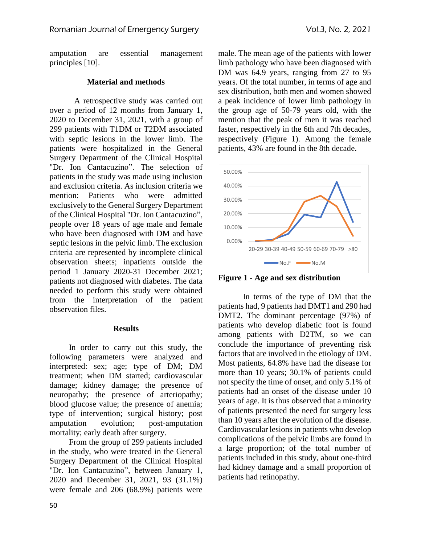amputation are essential management principles [10].

# **Material and methods**

A retrospective study was carried out over a period of 12 months from January 1, 2020 to December 31, 2021, with a group of 299 patients with T1DM or T2DM associated with septic lesions in the lower limb. The patients were hospitalized in the General Surgery Department of the Clinical Hospital "Dr. Ion Cantacuzino". The selection of patients in the study was made using inclusion and exclusion criteria. As inclusion criteria we mention: Patients who were admitted exclusively to the General Surgery Department of the Clinical Hospital "Dr. Ion Cantacuzino", people over 18 years of age male and female who have been diagnosed with DM and have septic lesions in the pelvic limb. The exclusion criteria are represented by incomplete clinical observation sheets; inpatients outside the period 1 January 2020-31 December 2021; patients not diagnosed with diabetes. The data needed to perform this study were obtained from the interpretation of the patient observation files.

## **Results**

In order to carry out this study, the following parameters were analyzed and interpreted: sex; age; type of DM; DM treatment; when DM started; cardiovascular damage; kidney damage; the presence of neuropathy; the presence of arteriopathy; blood glucose value; the presence of anemia; type of intervention; surgical history; post amputation evolution; post-amputation mortality; early death after surgery.

From the group of 299 patients included in the study, who were treated in the General Surgery Department of the Clinical Hospital "Dr. Ion Cantacuzino", between January 1, 2020 and December 31, 2021, 93 (31.1%) were female and 206 (68.9%) patients were male. The mean age of the patients with lower limb pathology who have been diagnosed with DM was 64.9 years, ranging from 27 to 95 years. Of the total number, in terms of age and sex distribution, both men and women showed a peak incidence of lower limb pathology in the group age of 50-79 years old, with the mention that the peak of men it was reached faster, respectively in the 6th and 7th decades, respectively (Figure 1). Among the female patients, 43% are found in the 8th decade.



**Figure 1 - Age and sex distribution**

In terms of the type of DM that the patients had, 9 patients had DMT1 and 290 had DMT2. The dominant percentage (97%) of patients who develop diabetic foot is found among patients with D2TM, so we can conclude the importance of preventing risk factors that are involved in the etiology of DM. Most patients, 64.8% have had the disease for more than 10 years; 30.1% of patients could not specify the time of onset, and only 5.1% of patients had an onset of the disease under 10 years of age. It is thus observed that a minority of patients presented the need for surgery less than 10 years after the evolution of the disease. Cardiovascular lesions in patients who develop complications of the pelvic limbs are found in a large proportion; of the total number of patients included in this study, about one-third had kidney damage and a small proportion of patients had retinopathy.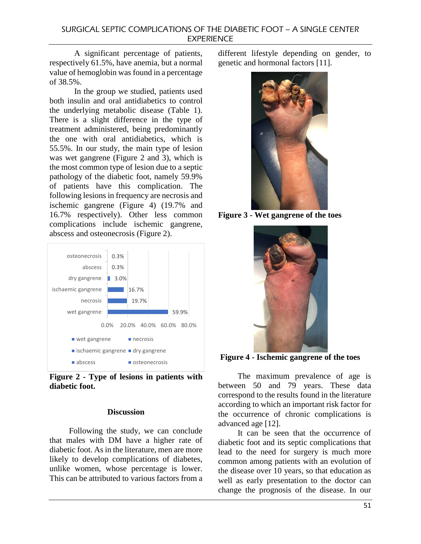A significant percentage of patients, respectively 61.5%, have anemia, but a normal value of hemoglobin was found in a percentage of 38.5%.

In the group we studied, patients used both insulin and oral antidiabetics to control the underlying metabolic disease (Table 1). There is a slight difference in the type of treatment administered, being predominantly the one with oral antidiabetics, which is 55.5%. In our study, the main type of lesion was wet gangrene (Figure 2 and 3), which is the most common type of lesion due to a septic pathology of the diabetic foot, namely 59.9% of patients have this complication. The following lesions in frequency are necrosis and ischemic gangrene (Figure 4) (19.7% and 16.7% respectively). Other less common complications include ischemic gangrene, abscess and osteonecrosis (Figure 2).



**Figure 2 - Type of lesions in patients with diabetic foot.**

## **Discussion**

Following the study, we can conclude that males with DM have a higher rate of diabetic foot. As in the literature, men are more likely to develop complications of diabetes, unlike women, whose percentage is lower. This can be attributed to various factors from a different lifestyle depending on gender, to genetic and hormonal factors [11].



**Figure 3 - Wet gangrene of the toes**



**Figure 4 - Ischemic gangrene of the toes**

The maximum prevalence of age is between 50 and 79 years. These data correspond to the results found in the literature according to which an important risk factor for the occurrence of chronic complications is advanced age [12].

It can be seen that the occurrence of diabetic foot and its septic complications that lead to the need for surgery is much more common among patients with an evolution of the disease over 10 years, so that education as well as early presentation to the doctor can change the prognosis of the disease. In our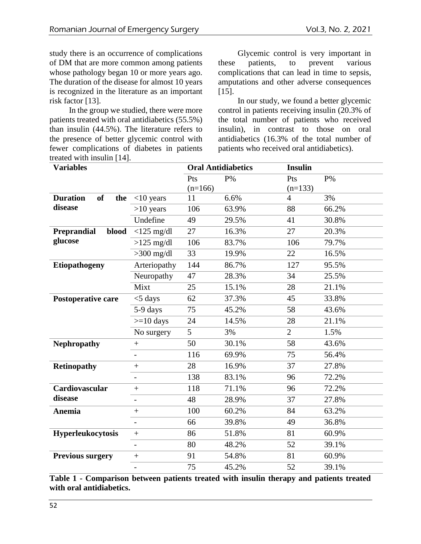study there is an occurrence of complications of DM that are more common among patients whose pathology began 10 or more years ago. The duration of the disease for almost 10 years is recognized in the literature as an important risk factor [13].

In the group we studied, there were more patients treated with oral antidiabetics (55.5%) than insulin (44.5%). The literature refers to the presence of better glycemic control with fewer complications of diabetes in patients treated with insulin [14].

Glycemic control is very important in these patients, to prevent various complications that can lead in time to sepsis, amputations and other adverse consequences [15].

In our study, we found a better glycemic control in patients receiving insulin (20.3% of the total number of patients who received insulin), in contrast to those on oral antidiabetics (16.3% of the total number of patients who received oral antidiabetics).

| <b>Variables</b>                    |                          | <b>Oral Antidiabetics</b> |       | <b>Insulin</b> |       |
|-------------------------------------|--------------------------|---------------------------|-------|----------------|-------|
|                                     |                          | Pts                       | $P\%$ | Pts            | $P\%$ |
|                                     |                          | $(n=166)$                 |       | $(n=133)$      |       |
| <b>Duration</b><br><b>of</b><br>the | $<$ 10 years             | 11                        | 6.6%  | $\overline{4}$ | 3%    |
| disease                             | $>10$ years              | 106                       | 63.9% | 88             | 66.2% |
|                                     | Undefine                 | 49                        | 29.5% | 41             | 30.8% |
| <b>Preprandial</b><br>blood         | $<$ 125 mg/dl            | 27                        | 16.3% | 27             | 20.3% |
| glucose                             | $>125$ mg/dl             | 106                       | 83.7% | 106            | 79.7% |
|                                     | $>300$ mg/dl             | 33                        | 19.9% | 22             | 16.5% |
| <b>Etiopathogeny</b>                | Arteriopathy             | 144                       | 86.7% | 127            | 95.5% |
|                                     | Neuropathy               | 47                        | 28.3% | 34             | 25.5% |
|                                     | Mixt                     | 25                        | 15.1% | 28             | 21.1% |
| Postoperative care                  | $<$ 5 days               | 62                        | 37.3% | 45             | 33.8% |
|                                     | 5-9 days                 | 75                        | 45.2% | 58             | 43.6% |
|                                     | $>=10$ days              | 24                        | 14.5% | 28             | 21.1% |
|                                     | No surgery               | 5                         | 3%    | $\overline{2}$ | 1.5%  |
| <b>Nephropathy</b>                  | $\qquad \qquad +$        | 50                        | 30.1% | 58             | 43.6% |
|                                     | $\overline{\phantom{a}}$ | 116                       | 69.9% | 75             | 56.4% |
| <b>Retinopathy</b>                  |                          | 28                        | 16.9% | 37             | 27.8% |
|                                     | $\overline{\phantom{0}}$ | 138                       | 83.1% | 96             | 72.2% |
| Cardiovascular                      | $+$                      | 118                       | 71.1% | 96             | 72.2% |
| disease                             | $\overline{\phantom{0}}$ | 48                        | 28.9% | 37             | 27.8% |
| Anemia                              | $+$                      | 100                       | 60.2% | 84             | 63.2% |
|                                     |                          | 66                        | 39.8% | 49             | 36.8% |
| Hyperleukocytosis                   | $\! + \!$                | 86                        | 51.8% | 81             | 60.9% |
|                                     | $\overline{\phantom{a}}$ | 80                        | 48.2% | 52             | 39.1% |
| <b>Previous surgery</b>             | $^{+}$                   | 91                        | 54.8% | 81             | 60.9% |
|                                     | $\overline{\phantom{0}}$ | 75                        | 45.2% | 52             | 39.1% |

**Table 1 - Comparison between patients treated with insulin therapy and patients treated with oral antidiabetics.**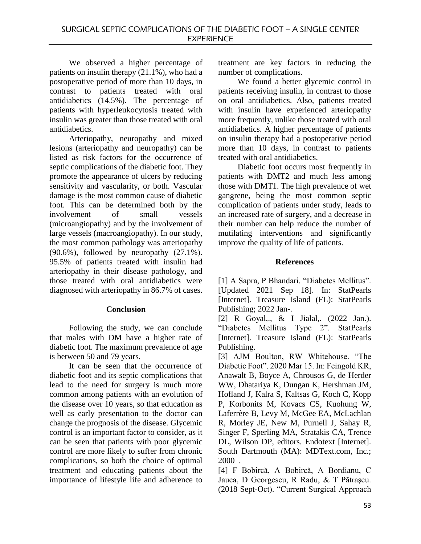We observed a higher percentage of patients on insulin therapy (21.1%), who had a postoperative period of more than 10 days, in contrast to patients treated with oral antidiabetics (14.5%). The percentage of patients with hyperleukocytosis treated with insulin was greater than those treated with oral antidiabetics.

Arteriopathy, neuropathy and mixed lesions (arteriopathy and neuropathy) can be listed as risk factors for the occurrence of septic complications of the diabetic foot. They promote the appearance of ulcers by reducing sensitivity and vascularity, or both. Vascular damage is the most common cause of diabetic foot. This can be determined both by the involvement of small vessels (microangiopathy) and by the involvement of large vessels (macroangiopathy). In our study, the most common pathology was arteriopathy  $(90.6\%)$ , followed by neuropathy  $(27.1\%)$ . 95.5% of patients treated with insulin had arteriopathy in their disease pathology, and those treated with oral antidiabetics were diagnosed with arteriopathy in 86.7% of cases.

# **Conclusion**

Following the study, we can conclude that males with DM have a higher rate of diabetic foot. The maximum prevalence of age is between 50 and 79 years.

It can be seen that the occurrence of diabetic foot and its septic complications that lead to the need for surgery is much more common among patients with an evolution of the disease over 10 years, so that education as well as early presentation to the doctor can change the prognosis of the disease. Glycemic control is an important factor to consider, as it can be seen that patients with poor glycemic control are more likely to suffer from chronic complications, so both the choice of optimal treatment and educating patients about the importance of lifestyle life and adherence to

treatment are key factors in reducing the number of complications.

We found a better glycemic control in patients receiving insulin, in contrast to those on oral antidiabetics. Also, patients treated with insulin have experienced arteriopathy more frequently, unlike those treated with oral antidiabetics. A higher percentage of patients on insulin therapy had a postoperative period more than 10 days, in contrast to patients treated with oral antidiabetics.

Diabetic foot occurs most frequently in patients with DMT2 and much less among those with DMT1. The high prevalence of wet gangrene, being the most common septic complication of patients under study, leads to an increased rate of surgery, and a decrease in their number can help reduce the number of mutilating interventions and significantly improve the quality of life of patients.

# **References**

[1] A Sapra, P Bhandari. "Diabetes Mellitus". [Updated 2021 Sep 18]. In: StatPearls [Internet]. Treasure Island (FL): StatPearls Publishing; 2022 Jan-.

[2] R Goyal,., & I Jialal,. (2022 Jan.). "Diabetes Mellitus Type 2". StatPearls [Internet]. Treasure Island (FL): StatPearls Publishing.

[3] AJM Boulton, RW Whitehouse. "The Diabetic Foot". 2020 Mar 15. In: Feingold KR, Anawalt B, Boyce A, Chrousos G, de Herder WW, Dhatariya K, Dungan K, Hershman JM, Hofland J, Kalra S, Kaltsas G, Koch C, Kopp P, Korbonits M, Kovacs CS, Kuohung W, Laferrère B, Levy M, McGee EA, McLachlan R, Morley JE, New M, Purnell J, Sahay R, Singer F, Sperling MA, Stratakis CA, Trence DL, Wilson DP, editors. Endotext [Internet]. South Dartmouth (MA): MDText.com, Inc.;  $2000 -$ .

[4] F Bobircă, A Bobircă, A Bordianu, C Jauca, D Georgescu, R Radu, & T Pătraşcu. (2018 Sept-Oct). "Current Surgical Approach